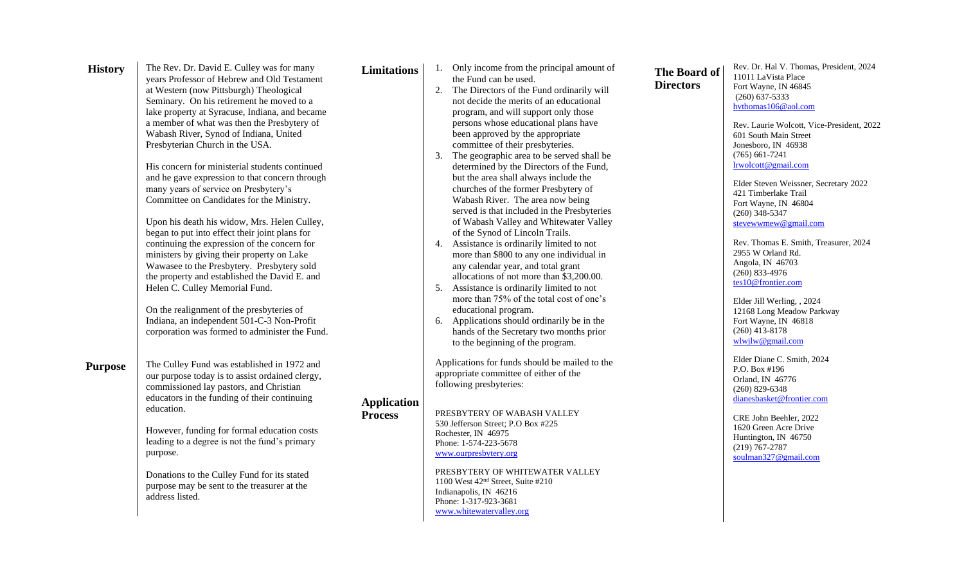| <b>History</b> | The Rev. Dr. David E. Culley was for many<br>years Professor of Hebrew and Old Testament<br>at Western (now Pittsburgh) Theological<br>Seminary. On his retirement he moved to a<br>lake property at Syracuse, Indiana, and became<br>a member of what was then the Presbytery of<br>Wabash River, Synod of Indiana, United<br>Presbyterian Church in the USA.                                                                                                                                                                                                                                                                                                       | <b>Limitations</b>                   | 2.                   | Only income from the principal amount of<br>the Fund can be used.<br>The Directors of the Fund ordinarily will<br>not decide the merits of an educational<br>program, and will support only those<br>persons whose educational plans have<br>been approved by the appropriate<br>committee of their presbyteries.                                                                                                                                                                                                                                                                                                                                                                                                     | <b>The Board of</b><br><b>Directors</b> | Rev. Dr. Hal V. Thomas, President, 2024<br>11011 LaVista Place<br>Fort Wayne, IN 46845<br>$(260)$ 637-5333<br>hythomas106@aol.com<br>Rev. Laurie Wolcott, Vice-President, 2022<br>601 South Main Street<br>Jonesboro, IN 46938                                                                                                                                                                                    |
|----------------|----------------------------------------------------------------------------------------------------------------------------------------------------------------------------------------------------------------------------------------------------------------------------------------------------------------------------------------------------------------------------------------------------------------------------------------------------------------------------------------------------------------------------------------------------------------------------------------------------------------------------------------------------------------------|--------------------------------------|----------------------|-----------------------------------------------------------------------------------------------------------------------------------------------------------------------------------------------------------------------------------------------------------------------------------------------------------------------------------------------------------------------------------------------------------------------------------------------------------------------------------------------------------------------------------------------------------------------------------------------------------------------------------------------------------------------------------------------------------------------|-----------------------------------------|-------------------------------------------------------------------------------------------------------------------------------------------------------------------------------------------------------------------------------------------------------------------------------------------------------------------------------------------------------------------------------------------------------------------|
|                | His concern for ministerial students continued<br>and he gave expression to that concern through<br>many years of service on Presbytery's<br>Committee on Candidates for the Ministry.<br>Upon his death his widow, Mrs. Helen Culley,<br>began to put into effect their joint plans for<br>continuing the expression of the concern for<br>ministers by giving their property on Lake<br>Wawasee to the Presbytery. Presbytery sold<br>the property and established the David E. and<br>Helen C. Culley Memorial Fund.<br>On the realignment of the presbyteries of<br>Indiana, an independent 501-C-3 Non-Profit<br>corporation was formed to administer the Fund. |                                      | 3.<br>4.<br>5.<br>6. | The geographic area to be served shall be<br>determined by the Directors of the Fund,<br>but the area shall always include the<br>churches of the former Presbytery of<br>Wabash River. The area now being<br>served is that included in the Presbyteries<br>of Wabash Valley and Whitewater Valley<br>of the Synod of Lincoln Trails.<br>Assistance is ordinarily limited to not<br>more than \$800 to any one individual in<br>any calendar year, and total grant<br>allocations of not more than \$3,200.00.<br>Assistance is ordinarily limited to not<br>more than 75% of the total cost of one's<br>educational program.<br>Applications should ordinarily be in the<br>hands of the Secretary two months prior |                                         | $(765) 661 - 7241$<br>lrwolcott@gmail.com<br>Elder Steven Weissner, Secretary 2022<br>421 Timberlake Trail<br>Fort Wayne, IN 46804<br>$(260)$ 348-5347<br>stevewwmew@gmail.com<br>Rev. Thomas E. Smith, Treasurer, 2024<br>2955 W Orland Rd.<br>Angola, IN 46703<br>$(260)$ 833-4976<br>tes10@frontier.com<br>Elder Jill Werling, , 2024<br>12168 Long Meadow Parkway<br>Fort Wayne, IN 46818<br>$(260)$ 413-8178 |
| <b>Purpose</b> | The Culley Fund was established in 1972 and<br>our purpose today is to assist ordained clergy,<br>commissioned lay pastors, and Christian<br>educators in the funding of their continuing<br>education.<br>However, funding for formal education costs<br>leading to a degree is not the fund's primary<br>purpose.<br>Donations to the Culley Fund for its stated<br>purpose may be sent to the treasurer at the<br>address listed.                                                                                                                                                                                                                                 | <b>Application</b><br><b>Process</b> |                      | to the beginning of the program.<br>Applications for funds should be mailed to the<br>appropriate committee of either of the<br>following presbyteries:<br>PRESBYTERY OF WABASH VALLEY<br>530 Jefferson Street: P.O Box #225<br>Rochester, IN 46975<br>Phone: 1-574-223-5678<br>www.ourpresbytery.org<br>PRESBYTERY OF WHITEWATER VALLEY<br>1100 West 42 <sup>nd</sup> Street, Suite #210<br>Indianapolis, IN 46216<br>Phone: 1-317-923-3681<br>www.whitewatervalley.org                                                                                                                                                                                                                                              |                                         | wlwjlw@gmail.com<br>Elder Diane C. Smith, 2024<br>P.O. Box $#196$<br>Orland, IN 46776<br>$(260)$ 829-6348<br>dianesbasket@frontier.com<br>CRE John Beehler, 2022<br>1620 Green Acre Drive<br>Huntington, IN 46750<br>$(219)$ 767-2787<br>soulman327@gmail.com                                                                                                                                                     |